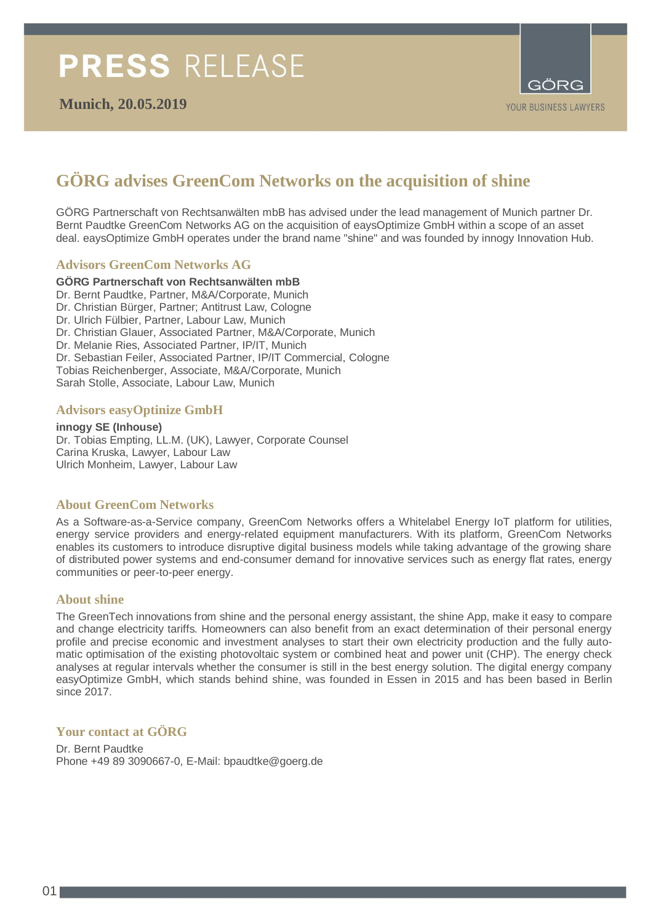

## **GÖRG advises GreenCom Networks on the acquisition of shine**

GÖRG Partnerschaft von Rechtsanwälten mbB has advised under the lead management of Munich partner Dr. Bernt Paudtke GreenCom Networks AG on the acquisition of eaysOptimize GmbH within a scope of an asset deal. eaysOptimize GmbH operates under the brand name "shine" and was founded by innogy Innovation Hub.

#### **Advisors GreenCom Networks AG**

#### **GÖRG Partnerschaft von Rechtsanwälten mbB**

Dr. Bernt Paudtke, Partner, M&A/Corporate, Munich Dr. Christian Bürger, Partner; Antitrust Law, Cologne Dr. Ulrich Fülbier, Partner, Labour Law, Munich Dr. Christian Glauer, Associated Partner, M&A/Corporate, Munich Dr. Melanie Ries, Associated Partner, IP/IT, Munich Dr. Sebastian Feiler, Associated Partner, IP/IT Commercial, Cologne Tobias Reichenberger, Associate, M&A/Corporate, Munich Sarah Stolle, Associate, Labour Law, Munich

#### **Advisors easyOptinize GmbH**

**innogy SE (Inhouse)** Dr. Tobias Empting, LL.M. (UK), Lawyer, Corporate Counsel Carina Kruska, Lawyer, Labour Law Ulrich Monheim, Lawyer, Labour Law

#### **About GreenCom Networks**

As a Software-as-a-Service company, GreenCom Networks offers a Whitelabel Energy IoT platform for utilities, energy service providers and energy-related equipment manufacturers. With its platform, GreenCom Networks enables its customers to introduce disruptive digital business models while taking advantage of the growing share of distributed power systems and end-consumer demand for innovative services such as energy flat rates, energy communities or peer-to-peer energy.

#### **About shine**

The GreenTech innovations from shine and the personal energy assistant, the shine App, make it easy to compare and change electricity tariffs. Homeowners can also benefit from an exact determination of their personal energy profile and precise economic and investment analyses to start their own electricity production and the fully automatic optimisation of the existing photovoltaic system or combined heat and power unit (CHP). The energy check analyses at regular intervals whether the consumer is still in the best energy solution. The digital energy company easyOptimize GmbH, which stands behind shine, was founded in Essen in 2015 and has been based in Berlin since 2017.

#### **Your contact at GÖRG**

Dr. Bernt Paudtke Phone +49 89 3090667-0, E-Mail: bpaudtke@goerg.de